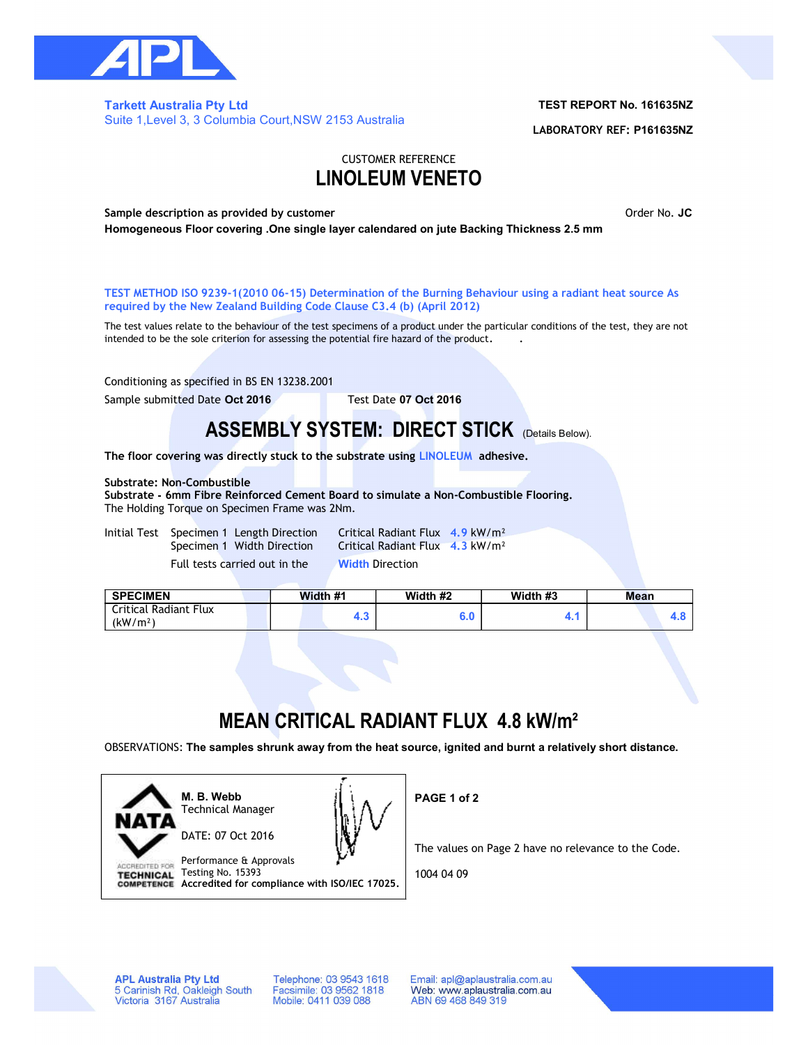

### Tarkett Australia Pty Ltd Suite 1,Level 3, 3 Columbia Court,NSW 2153 Australia

### TEST REPORT No. 161635NZ

LABORATORY REF: P161635NZ

### CUSTOMER REFERENCE LINOLEUM VENETO

Sample description as provided by customer **Sample Sample description as provided** by customer **Order No. JC** Homogeneous Floor covering .One single layer calendared on jute Backing Thickness 2.5 mm

TEST METHOD ISO 9239-1(2010 06-15) Determination of the Burning Behaviour using a radiant heat source As required by the New Zealand Building Code Clause C3.4 (b) (April 2012)

The test values relate to the behaviour of the test specimens of a product under the particular conditions of the test, they are not intended to be the sole criterion for assessing the potential fire hazard of the product. .

Conditioning as specified in BS EN 13238.2001

Sample submitted Date Oct 2016 Test Date 07 Oct 2016

## ASSEMBLY SYSTEM: DIRECT STICK (Details Below).

The floor covering was directly stuck to the substrate using LINOLEUM adhesive.

### Substrate: Non-Combustible

Substrate - 6mm Fibre Reinforced Cement Board to simulate a Non-Combustible Flooring. The Holding Torque on Specimen Frame was 2Nm.

Initial Test Specimen 1 Length Direction Critical Radiant Flux 4.9 kW/m<sup>2</sup> Full tests carried out in the Width Direction

Specimen 1 Width Direction Critical Radiant Flux 4.3 kW/m<sup>2</sup>

| <b>SPECIMEN</b>                               | Width #1 | Width #2 | Width #3 | <b>Mean</b> |  |  |
|-----------------------------------------------|----------|----------|----------|-------------|--|--|
| Critical Radiant Flux<br>(kW/m <sup>2</sup> ) | . .      | J.U      | . .      |             |  |  |

# MEAN CRITICAL RADIANT FLUX 4.8 kW/m²

OBSERVATIONS: The samples shrunk away from the heat source, ignited and burnt a relatively short distance.



Technical Manager DATE: 07 Oct 2016



Performance & Approvals Testing No. 15393 **TECHNICAL** COMPETENCE Accredited for compliance with ISO/IEC 17025. PAGE 1 of 2

The values on Page 2 have no relevance to the Code.

1004 04 09

**APL Australia Pty Ltd** 5 Carinish Rd, Oakleigh South<br>Victoria 3167 Australia

Telephone: 03 9543 1618 Facsimile: 03 9562 1818<br>Mobile: 0411 039 088

Email: apl@aplaustralia.com.au Web: www.aplaustralia.com.au ABN 69 468 849 319